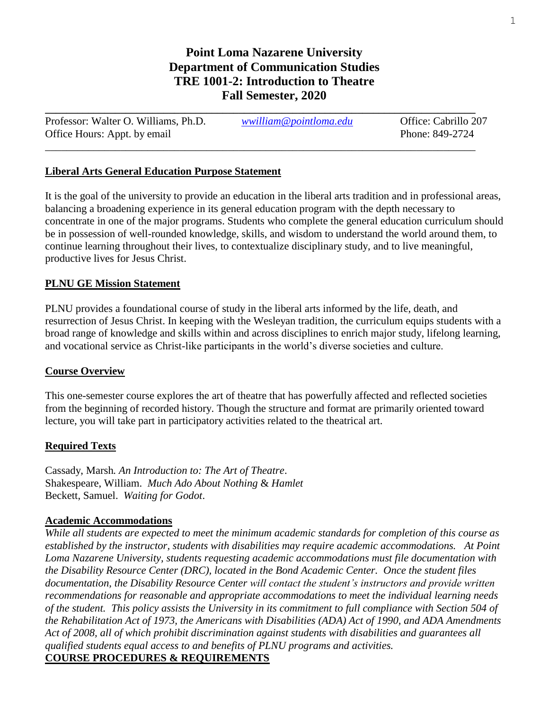# **Point Loma Nazarene University Department of Communication Studies TRE 1001-2: Introduction to Theatre Fall Semester, 2020**

| Professor: Walter O. Williams, Ph.D. | wwilliam@pointloma.edu | Office: Cabrillo 207 |
|--------------------------------------|------------------------|----------------------|
| Office Hours: Appt. by email         |                        | Phone: 849-2724      |
|                                      |                        |                      |

# **Liberal Arts General Education Purpose Statement**

It is the goal of the university to provide an education in the liberal arts tradition and in professional areas, balancing a broadening experience in its general education program with the depth necessary to concentrate in one of the major programs. Students who complete the general education curriculum should be in possession of well-rounded knowledge, skills, and wisdom to understand the world around them, to continue learning throughout their lives, to contextualize disciplinary study, and to live meaningful, productive lives for Jesus Christ.

# **PLNU GE Mission Statement**

PLNU provides a foundational course of study in the liberal arts informed by the life, death, and resurrection of Jesus Christ. In keeping with the Wesleyan tradition, the curriculum equips students with a broad range of knowledge and skills within and across disciplines to enrich major study, lifelong learning, and vocational service as Christ-like participants in the world's diverse societies and culture.

# **Course Overview**

This one-semester course explores the art of theatre that has powerfully affected and reflected societies from the beginning of recorded history. Though the structure and format are primarily oriented toward lecture, you will take part in participatory activities related to the theatrical art.

# **Required Texts**

Cassady, Marsh*. An Introduction to: The Art of Theatre*. Shakespeare, William. *Much Ado About Nothing* & *Hamlet* Beckett, Samuel. *Waiting for Godot*.

#### **Academic Accommodations**

*While all students are expected to meet the minimum academic standards for completion of this course as established by the instructor, students with disabilities may require academic accommodations. At Point Loma Nazarene University, students requesting academic accommodations must file documentation with the Disability Resource Center (DRC), located in the Bond Academic Center. Once the student files documentation, the Disability Resource Center will contact the student's instructors and provide written recommendations for reasonable and appropriate accommodations to meet the individual learning needs of the student. This policy assists the University in its commitment to full compliance with Section 504 of the Rehabilitation Act of 1973, the Americans with Disabilities (ADA) Act of 1990, and ADA Amendments Act of 2008, all of which prohibit discrimination against students with disabilities and guarantees all qualified students equal access to and benefits of PLNU programs and activities.* **COURSE PROCEDURES & REQUIREMENTS**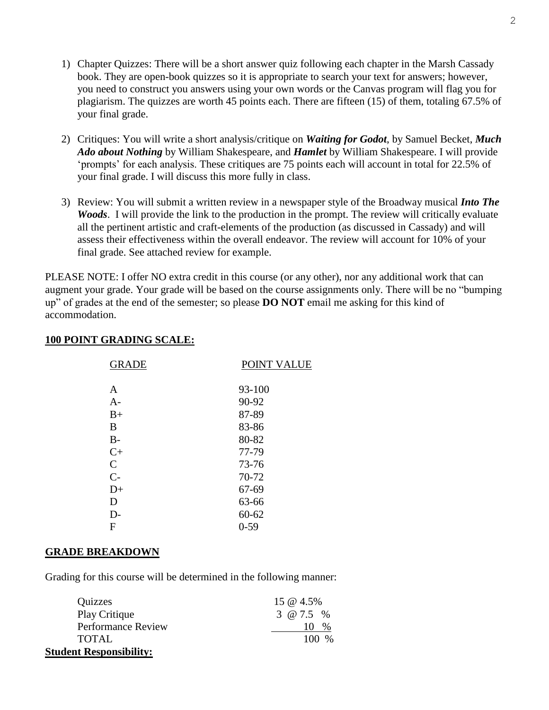- 1) Chapter Quizzes: There will be a short answer quiz following each chapter in the Marsh Cassady book. They are open-book quizzes so it is appropriate to search your text for answers; however, you need to construct you answers using your own words or the Canvas program will flag you for plagiarism. The quizzes are worth 45 points each. There are fifteen (15) of them, totaling 67.5% of your final grade.
- 2) Critiques: You will write a short analysis/critique on *Waiting for Godot*, by Samuel Becket, *Much Ado about Nothing* by William Shakespeare, and *Hamlet* by William Shakespeare. I will provide 'prompts' for each analysis. These critiques are 75 points each will account in total for 22.5% of your final grade. I will discuss this more fully in class.
- 3) Review: You will submit a written review in a newspaper style of the Broadway musical *Into The Woods*. I will provide the link to the production in the prompt. The review will critically evaluate all the pertinent artistic and craft-elements of the production (as discussed in Cassady) and will assess their effectiveness within the overall endeavor. The review will account for 10% of your final grade. See attached review for example.

PLEASE NOTE: I offer NO extra credit in this course (or any other), nor any additional work that can augment your grade. Your grade will be based on the course assignments only. There will be no "bumping up" of grades at the end of the semester; so please **DO NOT** email me asking for this kind of accommodation.

# **100 POINT GRADING SCALE:**

| <b>GRADE</b> | POINT VALUE |
|--------------|-------------|
| A            | 93-100      |
| $A-$         | 90-92       |
| $B+$         | 87-89       |
| B            | 83-86       |
| $B -$        | 80-82       |
| $C+$         | 77-79       |
| $\mathsf{C}$ | 73-76       |
| $C-$         | 70-72       |
| $D+$         | 67-69       |
| D            | 63-66       |
| D-           | $60 - 62$   |
| F            | $0 - 59$    |

#### **GRADE BREAKDOWN**

Grading for this course will be determined in the following manner:

| Quizzes                        | 15 @ 4.5%   |
|--------------------------------|-------------|
| Play Critique                  | 3 @ $7.5\%$ |
| <b>Performance Review</b>      | $\%$        |
| <b>TOTAL</b>                   | $100\%$     |
| <b>Student Responsibility:</b> |             |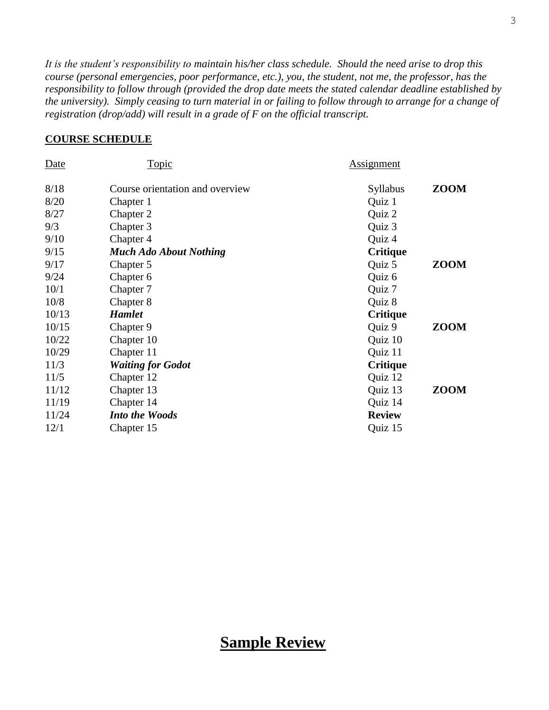*It is the student's responsibility to maintain his/her class schedule. Should the need arise to drop this course (personal emergencies, poor performance, etc.), you, the student, not me, the professor, has the responsibility to follow through (provided the drop date meets the stated calendar deadline established by the university). Simply ceasing to turn material in or failing to follow through to arrange for a change of registration (drop/add) will result in a grade of F on the official transcript.*

# **COURSE SCHEDULE**

| Date  | <u>Topic</u>                    | <b>Assignment</b> |             |
|-------|---------------------------------|-------------------|-------------|
| 8/18  | Course orientation and overview | <b>Syllabus</b>   | <b>ZOOM</b> |
| 8/20  | Chapter 1                       | Quiz 1            |             |
| 8/27  | Chapter 2                       | Quiz 2            |             |
| 9/3   | Chapter 3                       | Quiz 3            |             |
| 9/10  | Chapter 4                       | Quiz 4            |             |
| 9/15  | <b>Much Ado About Nothing</b>   | <b>Critique</b>   |             |
| 9/17  | Chapter 5                       | Quiz 5            | ZOOM        |
| 9/24  | Chapter 6                       | Quiz 6            |             |
| 10/1  | Chapter 7                       | Quiz 7            |             |
| 10/8  | Chapter 8                       | Quiz 8            |             |
| 10/13 | <b>Hamlet</b>                   | <b>Critique</b>   |             |
| 10/15 | Chapter 9                       | Quiz 9            | ZOOM        |
| 10/22 | Chapter 10                      | Quiz 10           |             |
| 10/29 | Chapter 11                      | Quiz 11           |             |
| 11/3  | <b>Waiting for Godot</b>        | <b>Critique</b>   |             |
| 11/5  | Chapter 12                      | Quiz 12           |             |
| 11/12 | Chapter 13                      | Quiz 13           | ZOOM        |
| 11/19 | Chapter 14                      | Quiz 14           |             |
| 11/24 | <b>Into the Woods</b>           | <b>Review</b>     |             |
| 12/1  | Chapter 15                      | Quiz 15           |             |

# **Sample Review**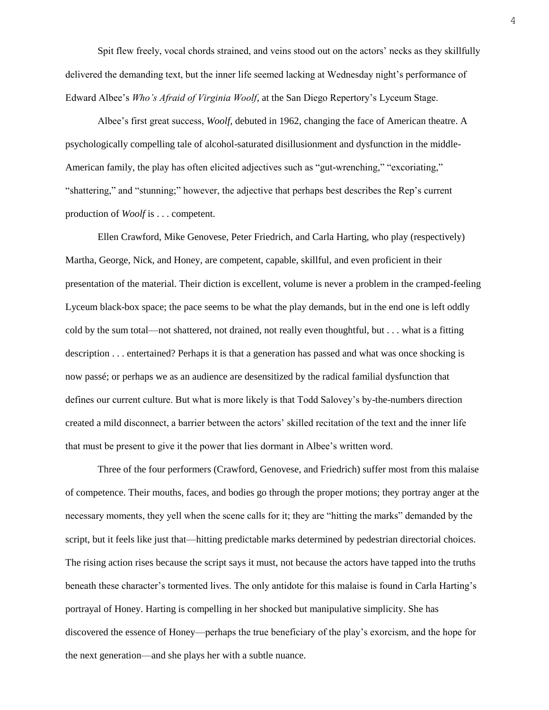Spit flew freely, vocal chords strained, and veins stood out on the actors' necks as they skillfully delivered the demanding text, but the inner life seemed lacking at Wednesday night's performance of Edward Albee's *Who's Afraid of Virginia Woolf*, at the San Diego Repertory's Lyceum Stage.

Albee's first great success, *Woolf*, debuted in 1962, changing the face of American theatre. A psychologically compelling tale of alcohol-saturated disillusionment and dysfunction in the middle-American family, the play has often elicited adjectives such as "gut-wrenching," "excoriating," "shattering," and "stunning;" however, the adjective that perhaps best describes the Rep's current production of *Woolf* is . . . competent.

Ellen Crawford, Mike Genovese, Peter Friedrich, and Carla Harting, who play (respectively) Martha, George, Nick, and Honey, are competent, capable, skillful, and even proficient in their presentation of the material. Their diction is excellent, volume is never a problem in the cramped-feeling Lyceum black-box space; the pace seems to be what the play demands, but in the end one is left oddly cold by the sum total—not shattered, not drained, not really even thoughtful, but . . . what is a fitting description . . . entertained? Perhaps it is that a generation has passed and what was once shocking is now passé; or perhaps we as an audience are desensitized by the radical familial dysfunction that defines our current culture. But what is more likely is that Todd Salovey's by-the-numbers direction created a mild disconnect, a barrier between the actors' skilled recitation of the text and the inner life that must be present to give it the power that lies dormant in Albee's written word.

Three of the four performers (Crawford, Genovese, and Friedrich) suffer most from this malaise of competence. Their mouths, faces, and bodies go through the proper motions; they portray anger at the necessary moments, they yell when the scene calls for it; they are "hitting the marks" demanded by the script, but it feels like just that—hitting predictable marks determined by pedestrian directorial choices. The rising action rises because the script says it must, not because the actors have tapped into the truths beneath these character's tormented lives. The only antidote for this malaise is found in Carla Harting's portrayal of Honey. Harting is compelling in her shocked but manipulative simplicity. She has discovered the essence of Honey—perhaps the true beneficiary of the play's exorcism, and the hope for the next generation—and she plays her with a subtle nuance.